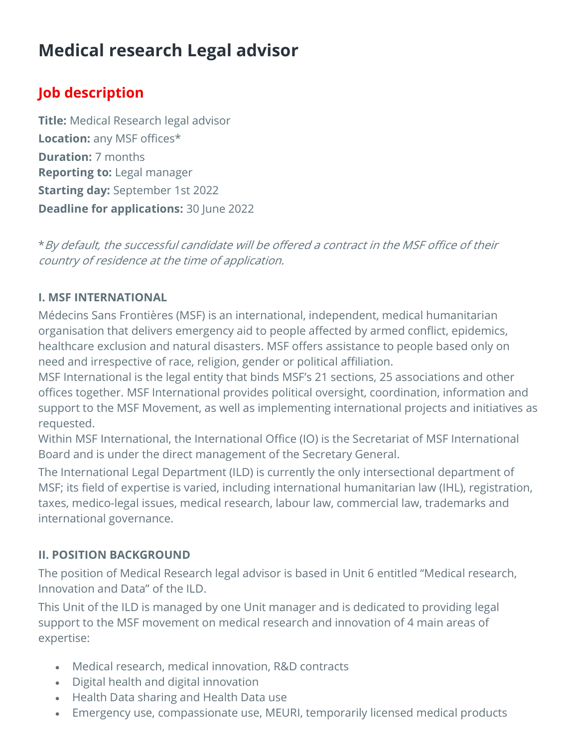# Medical research Legal advisor

# Job description

**Title:** Medical Research legal advisor Location: any MSF offices\* Duration: 7 months Reporting to: Legal manager **Starting day: September 1st 2022 Deadline for applications: 30 June 2022** 

\*By default, the successful candidate will be offered a contract in the MSF office of their country of residence at the time of application.

#### I. MSF INTERNATIONAL

Médecins Sans Frontières (MSF) is an international, independent, medical humanitarian organisation that delivers emergency aid to people affected by armed conflict, epidemics, healthcare exclusion and natural disasters. MSF offers assistance to people based only on need and irrespective of race, religion, gender or political affiliation.

MSF International is the legal entity that binds MSF's 21 sections, 25 associations and other offices together. MSF International provides political oversight, coordination, information and support to the MSF Movement, as well as implementing international projects and initiatives as requested.

Within MSF International, the International Office (IO) is the Secretariat of MSF International Board and is under the direct management of the Secretary General.

The International Legal Department (ILD) is currently the only intersectional department of MSF; its field of expertise is varied, including international humanitarian law (IHL), registration, taxes, medico-legal issues, medical research, labour law, commercial law, trademarks and international governance.

#### II. POSITION BACKGROUND

The position of Medical Research legal advisor is based in Unit 6 entitled "Medical research, Innovation and Data" of the ILD.

This Unit of the ILD is managed by one Unit manager and is dedicated to providing legal support to the MSF movement on medical research and innovation of 4 main areas of expertise:

- Medical research, medical innovation, R&D contracts
- Digital health and digital innovation
- Health Data sharing and Health Data use
- Emergency use, compassionate use, MEURI, temporarily licensed medical products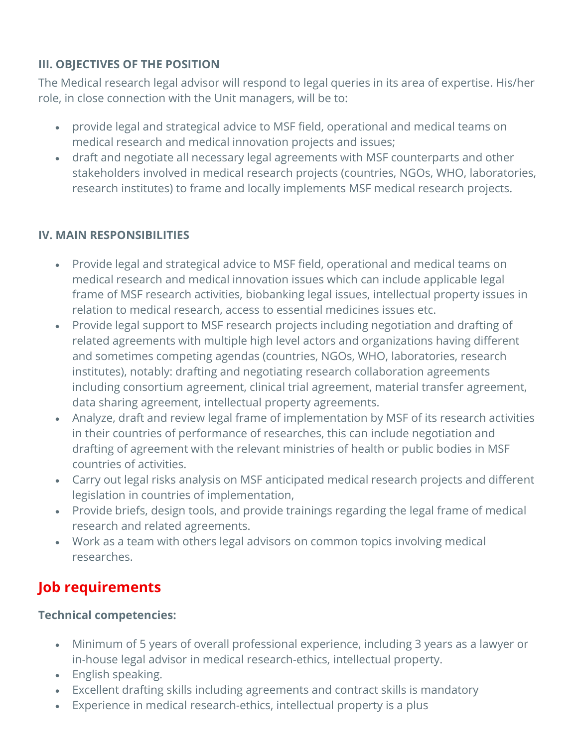## III. OBJECTIVES OF THE POSITION

The Medical research legal advisor will respond to legal queries in its area of expertise. His/her role, in close connection with the Unit managers, will be to:

- provide legal and strategical advice to MSF field, operational and medical teams on medical research and medical innovation projects and issues;
- draft and negotiate all necessary legal agreements with MSF counterparts and other stakeholders involved in medical research projects (countries, NGOs, WHO, laboratories, research institutes) to frame and locally implements MSF medical research projects.

### IV. MAIN RESPONSIBILITIES

- Provide legal and strategical advice to MSF field, operational and medical teams on medical research and medical innovation issues which can include applicable legal frame of MSF research activities, biobanking legal issues, intellectual property issues in relation to medical research, access to essential medicines issues etc.
- Provide legal support to MSF research projects including negotiation and drafting of related agreements with multiple high level actors and organizations having different and sometimes competing agendas (countries, NGOs, WHO, laboratories, research institutes), notably: drafting and negotiating research collaboration agreements including consortium agreement, clinical trial agreement, material transfer agreement, data sharing agreement, intellectual property agreements.
- Analyze, draft and review legal frame of implementation by MSF of its research activities in their countries of performance of researches, this can include negotiation and drafting of agreement with the relevant ministries of health or public bodies in MSF countries of activities.
- Carry out legal risks analysis on MSF anticipated medical research projects and different legislation in countries of implementation,
- Provide briefs, design tools, and provide trainings regarding the legal frame of medical research and related agreements.
- Work as a team with others legal advisors on common topics involving medical researches.

# Job requirements

### Technical competencies:

- Minimum of 5 years of overall professional experience, including 3 years as a lawyer or in-house legal advisor in medical research-ethics, intellectual property.
- English speaking.
- Excellent drafting skills including agreements and contract skills is mandatory
- Experience in medical research-ethics, intellectual property is a plus